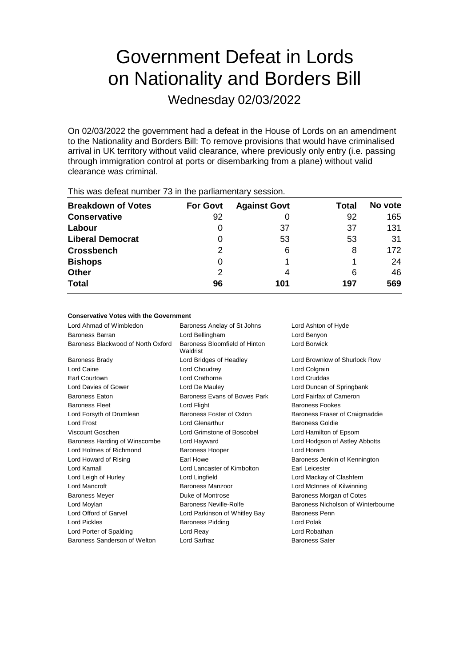# Government Defeat in Lords on Nationality and Borders Bill

Wednesday 02/03/2022

On 02/03/2022 the government had a defeat in the House of Lords on an amendment to the Nationality and Borders Bill: To remove provisions that would have criminalised arrival in UK territory without valid clearance, where previously only entry (i.e. passing through immigration control at ports or disembarking from a plane) without valid clearance was criminal.

| <b>Breakdown of Votes</b> | <b>For Govt</b> | <b>Against Govt</b> | Total | No vote |  |  |  |
|---------------------------|-----------------|---------------------|-------|---------|--|--|--|
| <b>Conservative</b>       | 92              |                     | 92    | 165     |  |  |  |
| Labour                    |                 | 37                  | 37    | 131     |  |  |  |
| <b>Liberal Democrat</b>   | 0               | 53                  | 53    | 31      |  |  |  |
| <b>Crossbench</b>         | 2               | 6                   | 8     | 172     |  |  |  |
| <b>Bishops</b>            | 0               |                     |       | 24      |  |  |  |
| <b>Other</b>              | 2               | 4                   | 6     | 46      |  |  |  |
| <b>Total</b>              | 96              | 101                 | 197   | 569     |  |  |  |
|                           |                 |                     |       |         |  |  |  |

This was defeat number 73 in the parliamentary session.

### **Conservative Votes with the Government**

| Baroness Anelay of St Johns               | Lord Ashton of Hyde                |
|-------------------------------------------|------------------------------------|
| Lord Bellingham                           | Lord Benyon                        |
| Baroness Bloomfield of Hinton<br>Waldrist | Lord Borwick                       |
| Lord Bridges of Headley                   | Lord Brownlow of Shurlock Row      |
| Lord Choudrey                             | Lord Colgrain                      |
| Lord Crathorne                            | Lord Cruddas                       |
| Lord De Mauley                            | Lord Duncan of Springbank          |
| Baroness Evans of Bowes Park              | Lord Fairfax of Cameron            |
| Lord Flight                               | Baroness Fookes                    |
| Baroness Foster of Oxton                  | Baroness Fraser of Craigmaddie     |
| Lord Glenarthur                           | Baroness Goldie                    |
| Lord Grimstone of Boscobel                | Lord Hamilton of Epsom             |
| Lord Hayward                              | Lord Hodgson of Astley Abbotts     |
| <b>Baroness Hooper</b>                    | Lord Horam                         |
| Farl Howe                                 | Baroness Jenkin of Kennington      |
| Lord Lancaster of Kimbolton               | Earl Leicester                     |
| Lord Lingfield                            | Lord Mackay of Clashfern           |
| Baroness Manzoor                          | Lord McInnes of Kilwinning         |
| Duke of Montrose                          | Baroness Morgan of Cotes           |
| Baroness Neville-Rolfe                    | Baroness Nicholson of Winterbourne |
| Lord Parkinson of Whitley Bay             | <b>Baroness Penn</b>               |
| <b>Baroness Pidding</b>                   | Lord Polak                         |
| Lord Reay                                 | Lord Robathan                      |
| Lord Sarfraz                              | <b>Baroness Sater</b>              |
|                                           |                                    |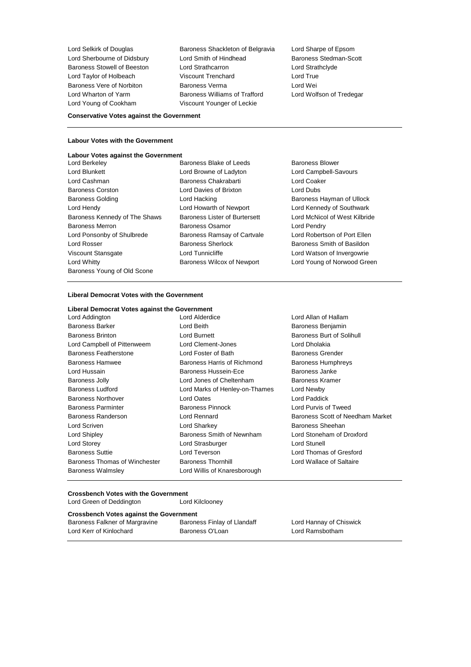Lord Selkirk of Douglas **Baroness Shackleton of Belgravia** Lord Sharpe of Epsom Lord Sherbourne of Didsbury Lord Smith of Hindhead Baroness Stedman-Scott<br>
Baroness Stowell of Beeston Lord Strathcarron Lord Strathclyde Baroness Stowell of Beeston Lord Strathcarron Lord Strathclyde Lord Taylor of Holbeach Viscount Trenchard Lord True Baroness Vere of Norbiton Baroness Verma Lord Wei Lord Wharton of Yarm Baroness Williams of Trafford Lord Wolfson of Tredegar Lord Young of Cookham Viscount Younger of Leckie

### **Conservative Votes against the Government**

### **Labour Votes with the Government**

# **Labour Votes against the Government**<br>Lord Berkeley B

- Lord Blunkett Lord Browne of Ladyton Lord Campbell-Savours Lord Cashman Baroness Chakrabarti Lord Coaker Baroness Corston **Lord Davies of Brixton** Baroness Golding **Baroness Hayman of Ullock** Lord Hacking **Baroness Hayman of Ullock** Lord Hendy Lord Howarth of Newport Lord Kennedy of Southwark Baroness Kennedy of The Shaws Baroness Lister of Burtersett Lord McNicol of West Kilbride Baroness Merron **Baroness Osamor** Baroness Osamor **Lord Pendry** Lord Ponsonby of Shulbrede **Baroness Ramsay of Cartvale** Lord Robertson of Port Ellen Lord Rosser **Baroness Sherlock** Baroness Sherlock Baroness Smith of Basildon Viscount Stansgate **Lord Tunnicliffe** Lord Tunnicliffe Lord Watson of Invergowrie Lord Whitty **Baroness Wilcox of Newport** Lord Young of Norwood Green Baroness Young of Old Scone
- Baroness Blake of Leeds Baroness Blower
	-

### **Liberal Democrat Votes with the Government**

#### **Liberal Democrat Votes against the Government**

| Lord Addington                | Lord Alderdice                 | Lord Allan of Hallam             |
|-------------------------------|--------------------------------|----------------------------------|
| <b>Baroness Barker</b>        | Lord Beith                     | Baroness Benjamin                |
| <b>Baroness Brinton</b>       | Lord Burnett                   | Baroness Burt of Solihull        |
| Lord Campbell of Pittenweem   | Lord Clement-Jones             | Lord Dholakia                    |
| <b>Baroness Featherstone</b>  | Lord Foster of Bath            | <b>Baroness Grender</b>          |
| Baroness Hamwee               | Baroness Harris of Richmond    | <b>Baroness Humphreys</b>        |
| Lord Hussain                  | <b>Baroness Hussein-Ece</b>    | Baroness Janke                   |
| <b>Baroness Jolly</b>         | Lord Jones of Cheltenham       | Baroness Kramer                  |
| <b>Baroness Ludford</b>       | Lord Marks of Henley-on-Thames | Lord Newby                       |
| Baroness Northover            | Lord Oates                     | Lord Paddick                     |
| <b>Baroness Parminter</b>     | <b>Baroness Pinnock</b>        | Lord Purvis of Tweed             |
| Baroness Randerson            | Lord Rennard                   | Baroness Scott of Needham Market |
| Lord Scriven                  | Lord Sharkey                   | Baroness Sheehan                 |
| Lord Shipley                  | Baroness Smith of Newnham      | Lord Stoneham of Droxford        |
| Lord Storey                   | Lord Strasburger               | Lord Stunell                     |
| <b>Baroness Suttie</b>        | Lord Teverson                  | Lord Thomas of Gresford          |
| Baroness Thomas of Winchester | <b>Baroness Thornhill</b>      | Lord Wallace of Saltaire         |
| <b>Baroness Walmsley</b>      | Lord Willis of Knaresborough   |                                  |

**Crossbench Votes with the Government**

Lord Green of Deddinaton

| .                                              |                             |  |  |  |  |
|------------------------------------------------|-----------------------------|--|--|--|--|
| <b>Crossbench Votes against the Government</b> |                             |  |  |  |  |
| Baroness Falkner of Margravine                 | Baroness Finlay of Llandaff |  |  |  |  |
| Lord Kerr of Kinlochard                        | Baroness O'Loan             |  |  |  |  |

Lord Hannay of Chiswick Lord Ramsbotham